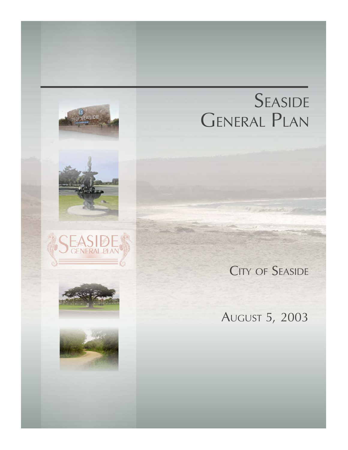# SEASIDE **GENERAL PLAN**

# **CITY OF SEASIDE**

**CENERAL PLA** 

# **AUGUST 5, 2003**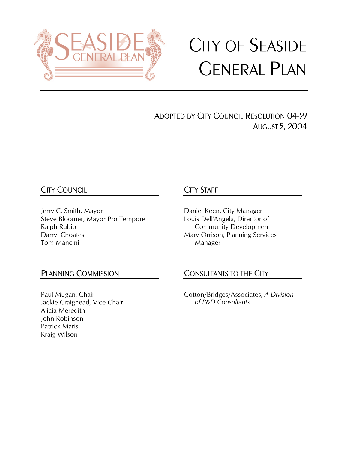

# CITY OF SEASIDE GENERAL PLAN

ADOPTED BY CITY COUNCIL RESOLUTION 04-59 AUGUST 5, 2004

# CITY COUNCIL

Jerry C. Smith, Mayor Steve Bloomer, Mayor Pro Tempore Ralph Rubio Darryl Choates Tom Mancini

# CITY STAFF

Daniel Keen, City Manager Louis Dell'Angela, Director of Community Development Mary Orrison, Planning Services Manager

## PLANNING COMMISSION

Paul Mugan, Chair Jackie Craighead, Vice Chair Alicia Meredith John Robinson Patrick Maris Kraig Wilson

## CONSULTANTS TO THE CITY

Cotton/Bridges/Associates, *A Division of P&D Consultants*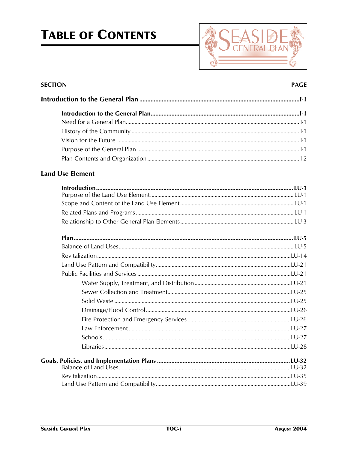# **TABLE OF CONTENTS**



#### **SECTION**

#### **PAGE**

#### **Land Use Element**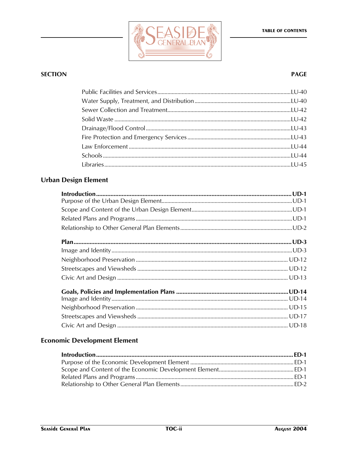

#### **PAGE**

### **Urban Design Element**

### **Economic Development Element**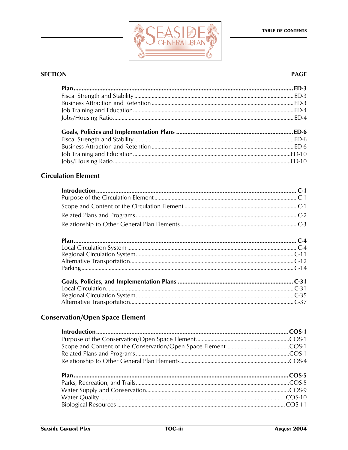

#### **PAGE**

#### **Circulation Element**

### **Conservation/Open Space Element**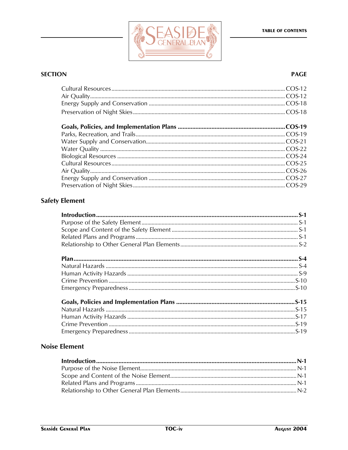

#### **PAGE**

# **Safety Element**

#### **Noise Element**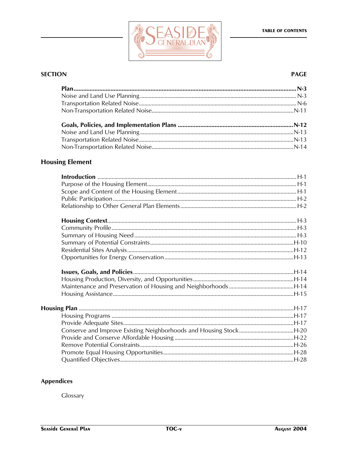

#### **PAGE**

### **Housing Element**

#### **Appendices**

Glossary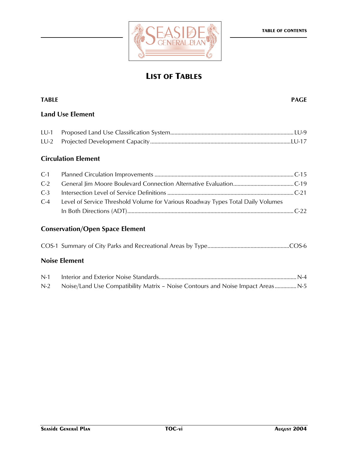



# **LIST OF TABLES**

# **TABLE PAGE Land Use Element**  LU-1 Proposed Land Use Classification System......................................................................................LU-9 LU-2 Projected Development Capacity..................................................................................................LU-17 **Circulation Element**  C-1 Planned Circulation Improvements .................................................................................................C-15 C-2 General Jim Moore Boulevard Connection Alternative Evaluation..........................................C-19 C-3 Intersection Level of Service Definitions ........................................................................................C-21 C-4 Level of Service Threshold Volume for Various Roadway Types Total Daily Volumes In Both Directions (ADT)....................................................................................................................C-22 **Conservation/Open Space Element**  COS-1 Summary of City Parks and Recreational Areas by Type.........................................................COS-6 **Noise Element**  N-1 Interior and Exterior Noise Standards................................................................................................ N-4

N-2 Noise/Land Use Compatibility Matrix - Noise Contours and Noise Impact Areas................ N-5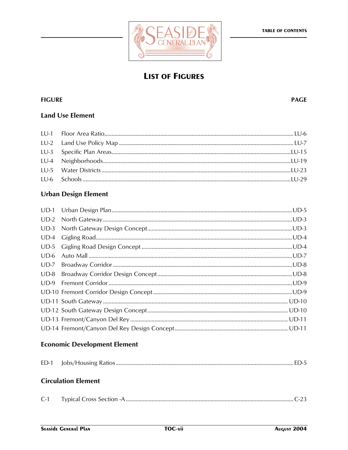

# **LIST OF FIGURES**

#### **FIGURE**

#### **PAGE**

#### **Land Use Element**

#### **Urban Design Element**

#### **Economic Development Element**

#### **Circulation Element**

| $C-1$ |  |
|-------|--|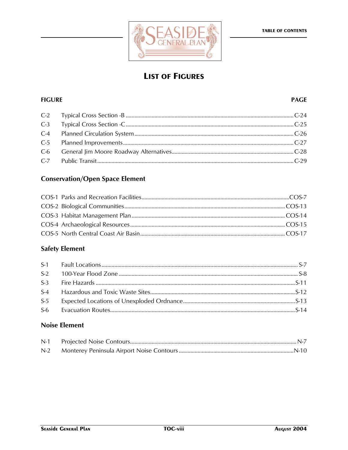

# **LIST OF FIGURES**

#### **FIGURE**

#### **PAGE**

#### **Conservation/Open Space Element**

### **Safety Element**

#### **Noise Element**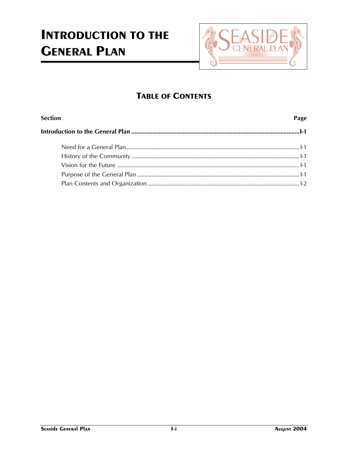# **INTRODUCTION TO THE GENERAL PLAN**



# **TABLE OF CONTENTS**

| <b>Section</b> |  |
|----------------|--|
|                |  |
|                |  |
|                |  |
|                |  |
|                |  |
|                |  |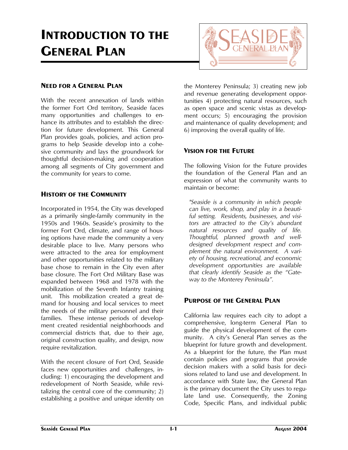# **INTRODUCTION TO THE GENERAL PLAN**



#### **NEED FOR A GENERAL PLAN**

With the recent annexation of lands within the former Fort Ord territory, Seaside faces many opportunities and challenges to enhance its attributes and to establish the direction for future development. This General Plan provides goals, policies, and action programs to help Seaside develop into a cohesive community and lays the groundwork for thoughtful decision-making and cooperation among all segments of City government and the community for years to come.

#### **HISTORY OF THE COMMUNITY**

Incorporated in 1954, the City was developed as a primarily single-family community in the 1950s and 1960s. Seaside's proximity to the former Fort Ord, climate, and range of housing options have made the community a very desirable place to live. Many persons who were attracted to the area for employment and other opportunities related to the military base chose to remain in the City even after base closure. The Fort Ord Military Base was expanded between 1968 and 1978 with the mobilization of the Seventh Infantry training unit. This mobilization created a great demand for housing and local services to meet the needs of the military personnel and their families. These intense periods of development created residential neighborhoods and commercial districts that, due to their age, original construction quality, and design, now require revitalization.

With the recent closure of Fort Ord, Seaside faces new opportunities and challenges, including: 1) encouraging the development and redevelopment of North Seaside, while revitalizing the central core of the community; 2) establishing a positive and unique identity on

the Monterey Peninsula; 3) creating new job and revenue generating development opportunities 4) protecting natural resources, such as open space and scenic vistas as development occurs; 5) encouraging the provision and maintenance of quality development; and 6) improving the overall quality of life.

#### **VISION FOR THE FUTURE**

The following Vision for the Future provides the foundation of the General Plan and an expression of what the community wants to maintain or become:

*"Seaside is a community in which people can live, work, shop, and play in a beautiful setting. Residents, businesses, and visitors are attracted to the City's abundant natural resources and quality of life. Thoughtful, planned growth and welldesigned development respect and complement the natural environment. A variety of housing, recreational, and economic development opportunities are available that clearly identify Seaside as the "Gateway to the Monterey Peninsula".* 

#### **PURPOSE OF THE GENERAL PLAN**

California law requires each city to adopt a comprehensive, long-term General Plan to guide the physical development of the community. A city's General Plan serves as the blueprint for future growth and development. As a blueprint for the future, the Plan must contain policies and programs that provide decision makers with a solid basis for decisions related to land use and development. In accordance with State law, the General Plan is the primary document the City uses to regulate land use. Consequently, the Zoning Code, Specific Plans, and individual public